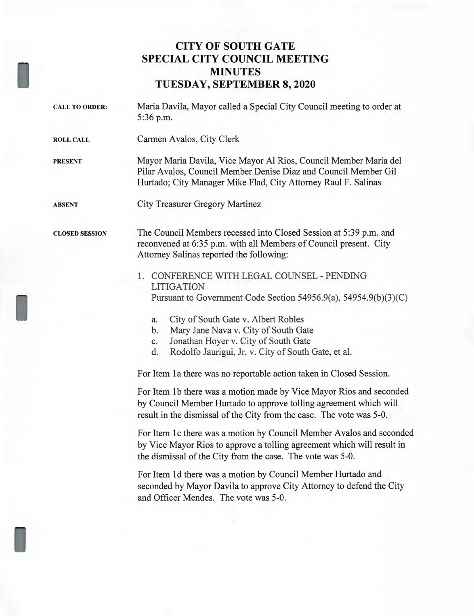## **CITY OF SOUTH GATE SPECIAL CITY COUNCIL MEETING MINUTES TUESDAY, SEPTEMBER 8, 2020**

CALL TO ORDER: Maria Davila, Mayor called a Special City Council meeting to order at 5:36 p.m. ROLL CALL Carmen Avalos, City Clerk PRESENT Mayor Maria Davila, Vice Mayor Al Rios, Council Member Maria del Pilar Avalos, Council Member Denise Diaz and Council Member Gil Hurtado; City Manager Mike Flad, City Attorney Raul F. Salinas ABSENT City Treasurer Gregory Martinez CLOSED SESSION The Council Members recessed into Closed Session at 5:39 p.m. and reconvened at 6:35 p.m. with all Members of Council present. City Attorney Salinas reported the following: 1. CONFERENCE WITH LEGAL COUNSEL - PENDING LITIGATION Pursuant to Government Code Section 54956.9(a), 54954.9(b)(3)(C) a. City of South Gate v. Albert Robles b. Mary Jane Nava v. City of South Gate c. Jonathan Hoyer v. City of South Gate d. Rodolfo Jaurigui, Jr. v. City of South Gate, et al. For Item 1a there was no reportable action taken in Closed Session.

> For Item lb there was a motion made by Vice Mayor Rios and seconded by Council Member Hurtado to approve tolling agreement which will result in the dismissal of the City from the case. The vote was 5-0.

For Item lc there was a motion by Council Member Avalos and seconded by Vice Mayor Rios to approve a tolling agreement which will result in the dismissal of the City from the case. The vote was 5-0.

For Item 1d there was a motion by Council Member Hurtado and seconded by Mayor Davila to approve City Attorney to defend the City and Officer Mendes. The vote was 5-0.